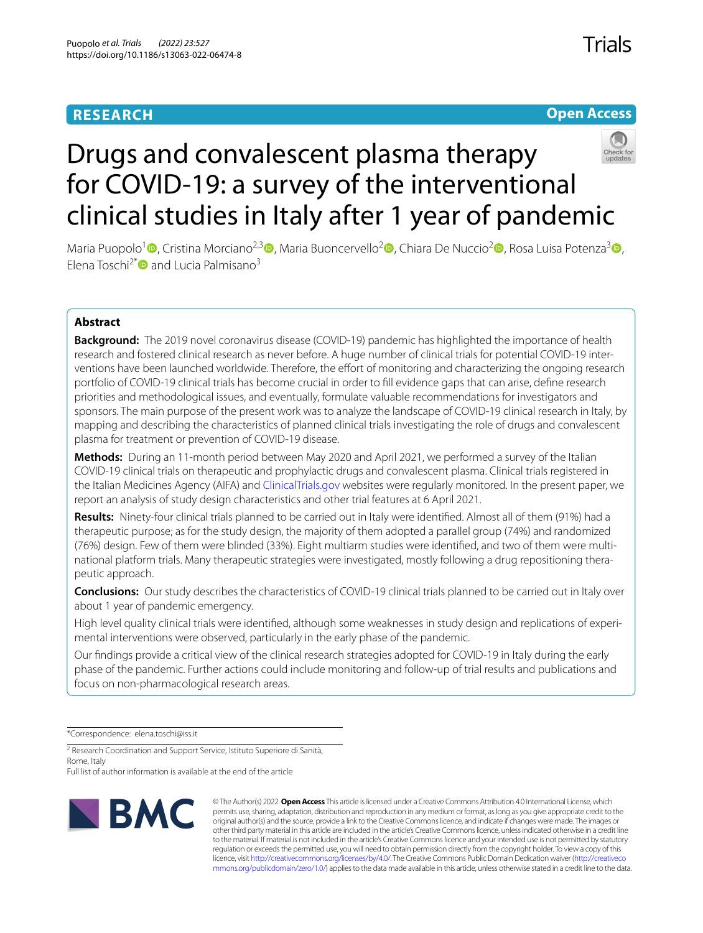# **RESEARCH**

# **Open Access**



# Drugs and convalescent plasma therapy for COVID-19: a survey of the interventional clinical studies in Italy after 1 year of pandemic

Maria Puopolo<sup>1</sup> **D**[,](http://orcid.org/0000-0003-1022-0819) Cristina Morciano<sup>[2](http://orcid.org/0000-0002-0028-4328),[3](http://orcid.org/0000-0003-2342-0705)</sup> D, Maria Buoncervello<sup>2</sup> D, Chiara De Nuccio<sup>2</sup> D, Rosa Luisa Potenza<sup>3</sup> D, Elena Toschi<sup>2\*</sup> and Lucia Palmisano<sup>3</sup>

# **Abstract**

**Background:** The 2019 novel coronavirus disease (COVID-19) pandemic has highlighted the importance of health research and fostered clinical research as never before. A huge number of clinical trials for potential COVID-19 interventions have been launched worldwide. Therefore, the effort of monitoring and characterizing the ongoing research portfolio of COVID-19 clinical trials has become crucial in order to fll evidence gaps that can arise, defne research priorities and methodological issues, and eventually, formulate valuable recommendations for investigators and sponsors. The main purpose of the present work was to analyze the landscape of COVID-19 clinical research in Italy, by mapping and describing the characteristics of planned clinical trials investigating the role of drugs and convalescent plasma for treatment or prevention of COVID-19 disease.

**Methods:** During an 11-month period between May 2020 and April 2021, we performed a survey of the Italian COVID-19 clinical trials on therapeutic and prophylactic drugs and convalescent plasma. Clinical trials registered in the Italian Medicines Agency (AIFA) and [ClinicalTrials.gov](http://clinicaltrials.gov) websites were regularly monitored. In the present paper, we report an analysis of study design characteristics and other trial features at 6 April 2021.

**Results:** Ninety-four clinical trials planned to be carried out in Italy were identifed. Almost all of them (91%) had a therapeutic purpose; as for the study design, the majority of them adopted a parallel group (74%) and randomized (76%) design. Few of them were blinded (33%). Eight multiarm studies were identifed, and two of them were multinational platform trials. Many therapeutic strategies were investigated, mostly following a drug repositioning therapeutic approach.

**Conclusions:** Our study describes the characteristics of COVID-19 clinical trials planned to be carried out in Italy over about 1 year of pandemic emergency.

High level quality clinical trials were identifed, although some weaknesses in study design and replications of experimental interventions were observed, particularly in the early phase of the pandemic.

Our fndings provide a critical view of the clinical research strategies adopted for COVID-19 in Italy during the early phase of the pandemic. Further actions could include monitoring and follow-up of trial results and publications and focus on non-pharmacological research areas.

\*Correspondence: elena.toschi@iss.it

<sup>2</sup> Research Coordination and Support Service, Istituto Superiore di Sanità, Rome, Italy

Full list of author information is available at the end of the article



© The Author(s) 2022. **Open Access** This article is licensed under a Creative Commons Attribution 4.0 International License, which permits use, sharing, adaptation, distribution and reproduction in any medium or format, as long as you give appropriate credit to the original author(s) and the source, provide a link to the Creative Commons licence, and indicate if changes were made. The images or other third party material in this article are included in the article's Creative Commons licence, unless indicated otherwise in a credit line to the material. If material is not included in the article's Creative Commons licence and your intended use is not permitted by statutory regulation or exceeds the permitted use, you will need to obtain permission directly from the copyright holder. To view a copy of this licence, visit [http://creativecommons.org/licenses/by/4.0/.](http://creativecommons.org/licenses/by/4.0/) The Creative Commons Public Domain Dedication waiver ([http://creativeco](http://creativecommons.org/publicdomain/zero/1.0/) [mmons.org/publicdomain/zero/1.0/](http://creativecommons.org/publicdomain/zero/1.0/)) applies to the data made available in this article, unless otherwise stated in a credit line to the data.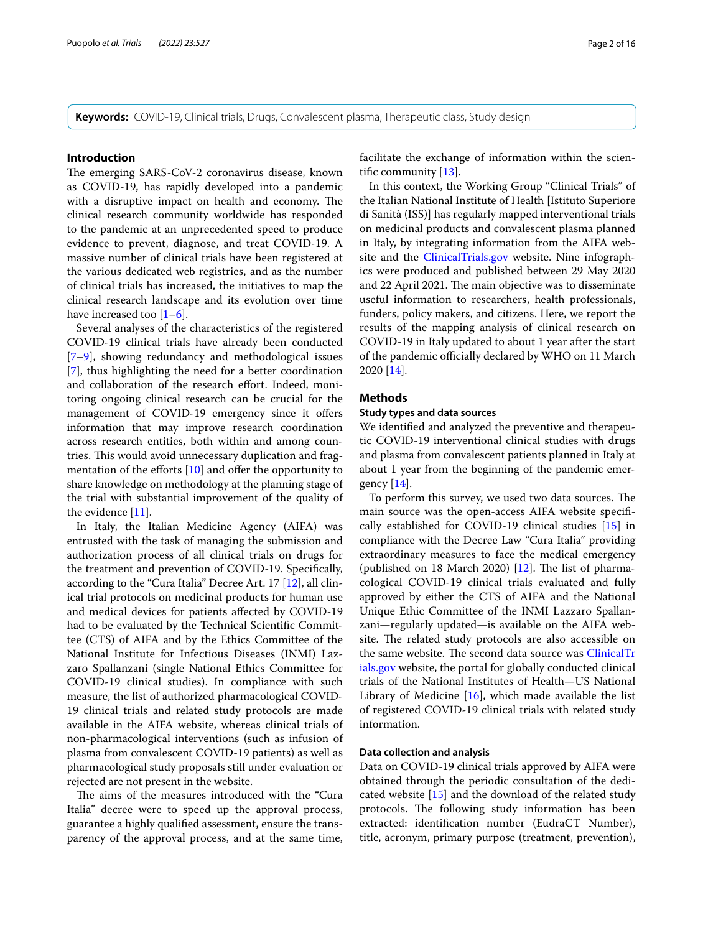**Keywords:** COVID-19, Clinical trials, Drugs, Convalescent plasma, Therapeutic class, Study design

## **Introduction**

The emerging SARS-CoV-2 coronavirus disease, known as COVID-19, has rapidly developed into a pandemic with a disruptive impact on health and economy. The clinical research community worldwide has responded to the pandemic at an unprecedented speed to produce evidence to prevent, diagnose, and treat COVID-19. A massive number of clinical trials have been registered at the various dedicated web registries, and as the number of clinical trials has increased, the initiatives to map the clinical research landscape and its evolution over time have increased too  $[1-6]$  $[1-6]$ .

Several analyses of the characteristics of the registered COVID-19 clinical trials have already been conducted [[7–](#page-15-2)[9\]](#page-15-3), showing redundancy and methodological issues [[7\]](#page-15-2), thus highlighting the need for a better coordination and collaboration of the research effort. Indeed, monitoring ongoing clinical research can be crucial for the management of COVID-19 emergency since it ofers information that may improve research coordination across research entities, both within and among countries. This would avoid unnecessary duplication and fragmentation of the efforts  $[10]$  $[10]$  and offer the opportunity to share knowledge on methodology at the planning stage of the trial with substantial improvement of the quality of the evidence [\[11](#page-15-5)].

In Italy, the Italian Medicine Agency (AIFA) was entrusted with the task of managing the submission and authorization process of all clinical trials on drugs for the treatment and prevention of COVID-19. Specifcally, according to the "Cura Italia" Decree Art. 17 [[12](#page-15-6)], all clinical trial protocols on medicinal products for human use and medical devices for patients afected by COVID-19 had to be evaluated by the Technical Scientifc Committee (CTS) of AIFA and by the Ethics Committee of the National Institute for Infectious Diseases (INMI) Lazzaro Spallanzani (single National Ethics Committee for COVID-19 clinical studies). In compliance with such measure, the list of authorized pharmacological COVID-19 clinical trials and related study protocols are made available in the AIFA website, whereas clinical trials of non-pharmacological interventions (such as infusion of plasma from convalescent COVID-19 patients) as well as pharmacological study proposals still under evaluation or rejected are not present in the website.

The aims of the measures introduced with the "Cura Italia" decree were to speed up the approval process, guarantee a highly qualifed assessment, ensure the transparency of the approval process, and at the same time, facilitate the exchange of information within the scientifc community [\[13](#page-15-7)].

In this context, the Working Group "Clinical Trials" of the Italian National Institute of Health [Istituto Superiore di Sanità (ISS)] has regularly mapped interventional trials on medicinal products and convalescent plasma planned in Italy, by integrating information from the AIFA website and the [ClinicalTrials.gov](http://clinicaltrials.gov) website. Nine infographics were produced and published between 29 May 2020 and 22 April 2021. The main objective was to disseminate useful information to researchers, health professionals, funders, policy makers, and citizens. Here, we report the results of the mapping analysis of clinical research on COVID-19 in Italy updated to about 1 year after the start of the pandemic officially declared by WHO on 11 March 2020 [[14\]](#page-15-8).

## **Methods**

## **Study types and data sources**

We identifed and analyzed the preventive and therapeutic COVID-19 interventional clinical studies with drugs and plasma from convalescent patients planned in Italy at about 1 year from the beginning of the pandemic emergency  $[14]$ .

To perform this survey, we used two data sources. The main source was the open-access AIFA website specifcally established for COVID-19 clinical studies [\[15\]](#page-15-9) in compliance with the Decree Law "Cura Italia" providing extraordinary measures to face the medical emergency (published on 18 March 2020)  $[12]$  $[12]$  $[12]$ . The list of pharmacological COVID-19 clinical trials evaluated and fully approved by either the CTS of AIFA and the National Unique Ethic Committee of the INMI Lazzaro Spallanzani—regularly updated—is available on the AIFA website. The related study protocols are also accessible on the same website. The second data source was [ClinicalTr](http://clinicaltrials.gov) [ials.gov](http://clinicaltrials.gov) website, the portal for globally conducted clinical trials of the National Institutes of Health—US National Library of Medicine  $[16]$  $[16]$ , which made available the list of registered COVID-19 clinical trials with related study information.

# **Data collection and analysis**

Data on COVID-19 clinical trials approved by AIFA were obtained through the periodic consultation of the dedicated website [\[15\]](#page-15-9) and the download of the related study protocols. The following study information has been extracted: identifcation number (EudraCT Number), title, acronym, primary purpose (treatment, prevention),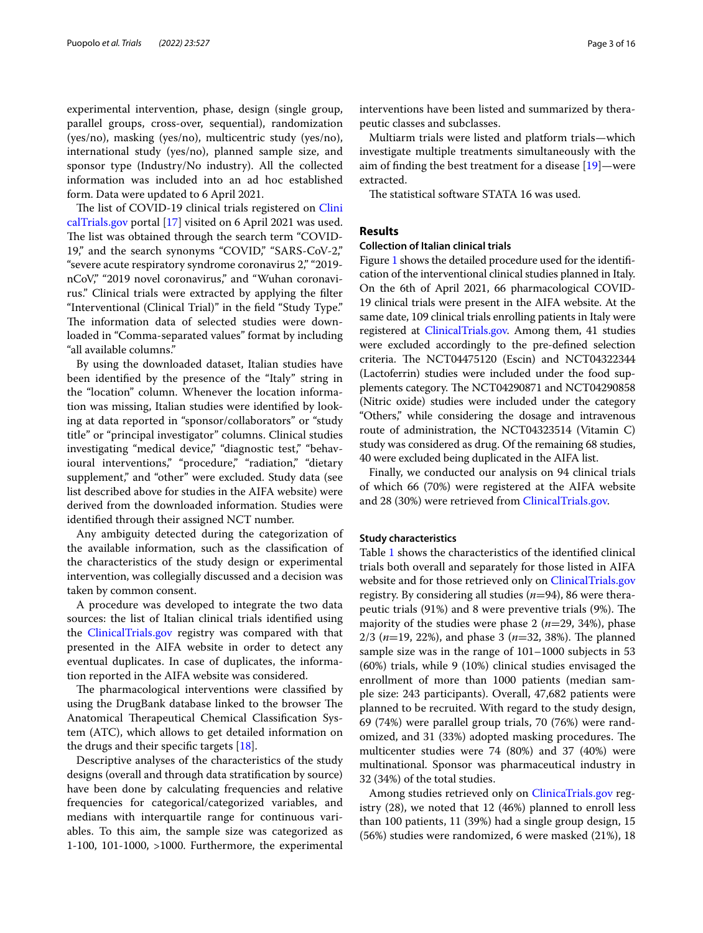experimental intervention, phase, design (single group, parallel groups, cross-over, sequential), randomization (yes/no), masking (yes/no), multicentric study (yes/no), international study (yes/no), planned sample size, and sponsor type (Industry/No industry). All the collected information was included into an ad hoc established form. Data were updated to 6 April 2021.

The list of COVID-19 clinical trials registered on [Clini](http://clinicaltrials.gov) [calTrials.gov](http://clinicaltrials.gov) portal [\[17\]](#page-15-11) visited on 6 April 2021 was used. The list was obtained through the search term "COVID-19," and the search synonyms "COVID," "SARS-CoV-2," "severe acute respiratory syndrome coronavirus 2," "2019 nCoV," "2019 novel coronavirus," and "Wuhan coronavirus." Clinical trials were extracted by applying the flter "Interventional (Clinical Trial)" in the feld "Study Type." The information data of selected studies were downloaded in "Comma-separated values" format by including "all available columns."

By using the downloaded dataset, Italian studies have been identifed by the presence of the "Italy" string in the "location" column. Whenever the location information was missing, Italian studies were identifed by looking at data reported in "sponsor/collaborators" or "study title" or "principal investigator" columns. Clinical studies investigating "medical device," "diagnostic test," "behavioural interventions," "procedure," "radiation," "dietary supplement," and "other" were excluded. Study data (see list described above for studies in the AIFA website) were derived from the downloaded information. Studies were identifed through their assigned NCT number.

Any ambiguity detected during the categorization of the available information, such as the classifcation of the characteristics of the study design or experimental intervention, was collegially discussed and a decision was taken by common consent.

A procedure was developed to integrate the two data sources: the list of Italian clinical trials identifed using the [ClinicalTrials.gov](http://clinicaltrials.gov) registry was compared with that presented in the AIFA website in order to detect any eventual duplicates. In case of duplicates, the information reported in the AIFA website was considered.

The pharmacological interventions were classified by using the DrugBank database linked to the browser The Anatomical Therapeutical Chemical Classification System (ATC), which allows to get detailed information on the drugs and their specific targets  $[18]$  $[18]$ .

Descriptive analyses of the characteristics of the study designs (overall and through data stratifcation by source) have been done by calculating frequencies and relative frequencies for categorical/categorized variables, and medians with interquartile range for continuous variables. To this aim, the sample size was categorized as 1-100, 101-1000, >1000. Furthermore, the experimental interventions have been listed and summarized by therapeutic classes and subclasses.

Multiarm trials were listed and platform trials—which investigate multiple treatments simultaneously with the aim of fnding the best treatment for a disease [[19\]](#page-15-13)—were extracted.

The statistical software STATA 16 was used.

# **Results**

#### **Collection of Italian clinical trials**

Figure [1](#page-3-0) shows the detailed procedure used for the identifcation of the interventional clinical studies planned in Italy. On the 6th of April 2021, 66 pharmacological COVID-19 clinical trials were present in the AIFA website. At the same date, 109 clinical trials enrolling patients in Italy were registered at [ClinicalTrials.gov.](http://clinicaltrials.gov) Among them, 41 studies were excluded accordingly to the pre-defned selection criteria. The NCT04475120 (Escin) and NCT04322344 (Lactoferrin) studies were included under the food supplements category. The NCT04290871 and NCT04290858 (Nitric oxide) studies were included under the category "Others," while considering the dosage and intravenous route of administration, the NCT04323514 (Vitamin C) study was considered as drug. Of the remaining 68 studies, 40 were excluded being duplicated in the AIFA list.

Finally, we conducted our analysis on 94 clinical trials of which 66 (70%) were registered at the AIFA website and 28 (30%) were retrieved from [ClinicalTrials.gov.](http://clinicaltrials.gov)

## **Study characteristics**

Table [1](#page-4-0) shows the characteristics of the identifed clinical trials both overall and separately for those listed in AIFA website and for those retrieved only on [ClinicalTrials.gov](http://clinicaltrials.gov) registry. By considering all studies (*n*=94), 86 were therapeutic trials (91%) and 8 were preventive trials (9%). The majority of the studies were phase 2 (*n*=29, 34%), phase 2/3 ( $n=19$ , 22%), and phase 3 ( $n=32$ , 38%). The planned sample size was in the range of 101–1000 subjects in 53 (60%) trials, while 9 (10%) clinical studies envisaged the enrollment of more than 1000 patients (median sample size: 243 participants). Overall, 47,682 patients were planned to be recruited. With regard to the study design, 69 (74%) were parallel group trials, 70 (76%) were randomized, and 31 (33%) adopted masking procedures. The multicenter studies were 74 (80%) and 37 (40%) were multinational. Sponsor was pharmaceutical industry in 32 (34%) of the total studies.

Among studies retrieved only on [ClinicaTrials.gov](http://clinicatrials.gov) registry (28), we noted that 12 (46%) planned to enroll less than 100 patients, 11 (39%) had a single group design, 15 (56%) studies were randomized, 6 were masked (21%), 18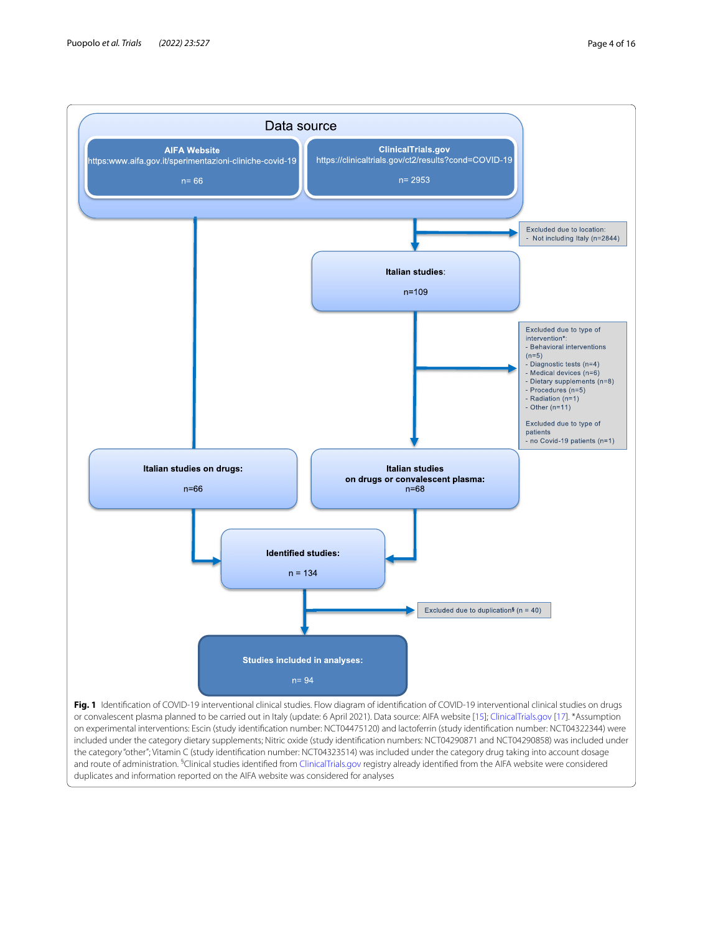

<span id="page-3-0"></span>Fig. 1 Identification of COVID-19 interventional clinical studies. Flow diagram of identification of COVID-19 interventional clinical studies on drugs or convalescent plasma planned to be carried out in Italy (update: 6 April 2021). Data source: AIFA website [[15](#page-15-9)]; [ClinicalTrials.gov](http://clinicaltrials.gov) [[17](#page-15-11)]. \*Assumption on experimental interventions: Escin (study identifcation number: NCT04475120) and lactoferrin (study identifcation number: NCT04322344) were included under the category dietary supplements; Nitric oxide (study identifcation numbers: NCT04290871 and NCT04290858) was included under the category "other"; Vitamin C (study identifcation number: NCT04323514) was included under the category drug taking into account dosage and route of administration. <sup>5</sup>Clinical studies identified from [ClinicalTrials.gov](http://clinicaltrials.gov) registry already identified from the AIFA website were considered duplicates and information reported on the AIFA website was considered for analyses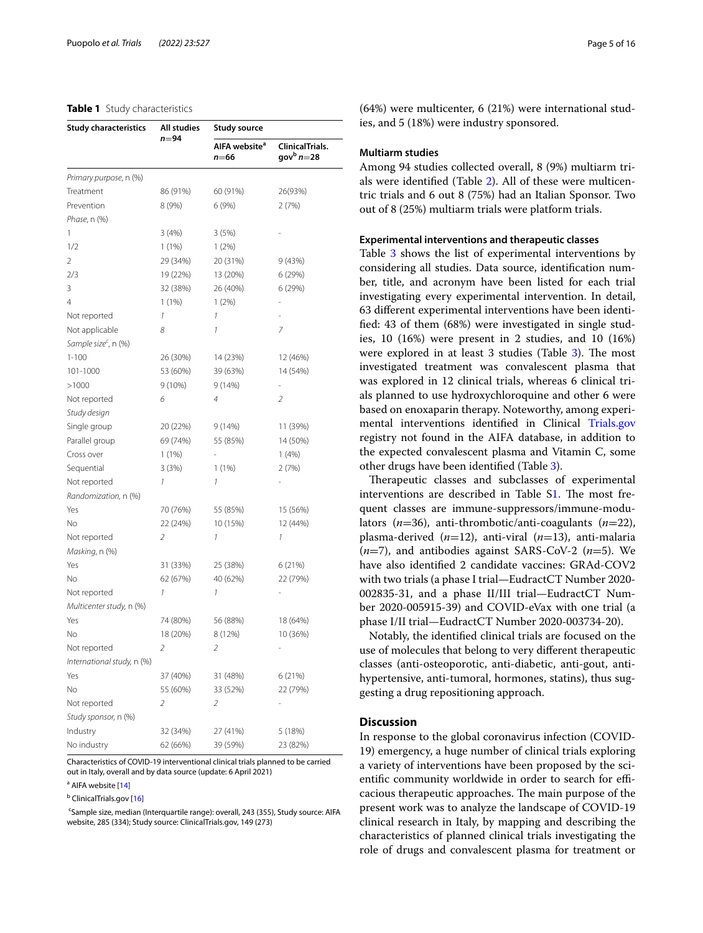## <span id="page-4-0"></span>**Table 1** Study characteristics

| <b>Study characteristics</b>     | All studies          | <b>Study source</b>               |                                        |  |
|----------------------------------|----------------------|-----------------------------------|----------------------------------------|--|
|                                  | n=94                 | AIFA website <sup>a</sup><br>n=66 | ClinicalTrials.<br>gov $^{\rm b}$ n=28 |  |
| Primary purpose, n (%)           |                      |                                   |                                        |  |
| Treatment                        | 86 (91%)             | 60 (91%)                          | 26(93%)                                |  |
| Prevention                       | 8 (9%)               | 6 (9%)                            | 2 (7%)                                 |  |
| <i>Phase,</i> n (%)              |                      |                                   |                                        |  |
| 1                                | 3(4%)                | 3(5%)                             |                                        |  |
| 1/2                              | 1(1%)                | 1(2%)                             |                                        |  |
| 2                                | 29 (34%)             | 20 (31%)                          | 9 (43%)                                |  |
| 2/3                              | 19 (22%)             | 13 (20%)                          | 6 (29%)                                |  |
| 3                                | 32 (38%)             | 26 (40%)                          | 6 (29%)                                |  |
| 4                                | 1(1%)                | 1(2%)                             |                                        |  |
| Not reported                     | 1                    | 1                                 |                                        |  |
| Not applicable                   | 8                    | 1                                 | 7                                      |  |
| Sample size <sup>c</sup> , n (%) |                      |                                   |                                        |  |
| $1 - 100$                        | 26 (30%)             | 14 (23%)                          | 12 (46%)                               |  |
| 101-1000                         | 53 (60%)             | 39 (63%)                          | 14 (54%)                               |  |
| >1000                            | $9(10\%)$            | 9(14%)                            |                                        |  |
| Not reported                     | 6                    | 4                                 | $\overline{2}$                         |  |
| Study design                     |                      |                                   |                                        |  |
| Single group                     | 20 (22%)             | 9 (14%)                           | 11 (39%)                               |  |
| Parallel group                   | 69 (74%)             | 55 (85%)                          | 14 (50%)                               |  |
| Cross over                       | 1(1%)                |                                   | 1(4%)                                  |  |
| Sequential                       | 3 (3%)               | 1 (1%)                            | 2(7%)                                  |  |
| Not reported                     | 1                    | 1                                 |                                        |  |
| Randomization, n (%)             |                      |                                   |                                        |  |
| Yes                              | 70 (76%)             | 55 (85%)                          | 15 (56%)                               |  |
| No                               | 22 (24%)             | 10 (15%)                          | 12 (44%)                               |  |
| Not reported                     | 2                    | 1                                 | 1                                      |  |
| Masking, n (%)                   |                      |                                   |                                        |  |
| Yes                              | 31 (33%)             | 25 (38%)                          | 6 (21%)                                |  |
| No                               | 62 (67%)             | 40 (62%)                          | 22 (79%)                               |  |
| Not reported                     | 1                    | 1                                 |                                        |  |
| Multicenter study, n (%)         |                      |                                   |                                        |  |
| Yes                              | 74 (80%)             | 56 (88%)                          | 18 (64%)                               |  |
| Νo                               | 18 (20%)             | 8 (12%)                           | 10 (36%)                               |  |
| Not reported                     |                      |                                   |                                        |  |
| International study, n (%)       |                      | 2                                 |                                        |  |
|                                  |                      |                                   |                                        |  |
| Yes<br>Νo                        | 37 (40%)<br>55 (60%) | 31 (48%)<br>33 (52%)              | 6 (21%)<br>22 (79%)                    |  |
|                                  |                      |                                   |                                        |  |
| Not reported                     | 2                    | 2                                 |                                        |  |
| Study sponsor, n (%)             |                      |                                   |                                        |  |
| Industry                         | 32 (34%)             | 27 (41%)                          | 5 (18%)                                |  |
| No industry                      | 62 (66%)             | 39 (59%)                          | 23 (82%)                               |  |

Characteristics of COVID-19 interventional clinical trials planned to be carried out in Italy, overall and by data source (update: 6 April 2021)

<sup>a</sup> AIFA website [\[14\]](#page-15-8)

<sup>b</sup> ClinicalTrials.gov [[16](#page-15-10)]

<sup>c</sup>Sample size, median (Interquartile range): overall, 243 (355), Study source: AIFA website, 285 (334); Study source: ClinicalTrials.gov, 149 (273)

(64%) were multicenter, 6 (21%) were international studies, and 5 (18%) were industry sponsored.

## **Multiarm studies**

Among 94 studies collected overall, 8 (9%) multiarm trials were identifed (Table [2\)](#page-5-0). All of these were multicentric trials and 6 out 8 (75%) had an Italian Sponsor. Two out of 8 (25%) multiarm trials were platform trials.

#### **Experimental interventions and therapeutic classes**

Table [3](#page-6-0) shows the list of experimental interventions by considering all studies. Data source, identifcation number, title, and acronym have been listed for each trial investigating every experimental intervention. In detail, 63 diferent experimental interventions have been identifed: 43 of them (68%) were investigated in single studies, 10 (16%) were present in 2 studies, and 10 (16%) were explored in at least [3](#page-6-0) studies (Table  $3$ ). The most investigated treatment was convalescent plasma that was explored in 12 clinical trials, whereas 6 clinical trials planned to use hydroxychloroquine and other 6 were based on enoxaparin therapy. Noteworthy, among experimental interventions identifed in Clinical [Trials.gov](http://trials.gov) registry not found in the AIFA database, in addition to the expected convalescent plasma and Vitamin C, some other drugs have been identifed (Table [3](#page-6-0)).

Therapeutic classes and subclasses of experimental interventions are described in Table [S1.](#page-14-0) The most frequent classes are immune-suppressors/immune-modulators (*n*=36), anti-thrombotic/anti-coagulants (*n*=22), plasma-derived (*n*=12), anti-viral (*n*=13), anti-malaria (*n*=7), and antibodies against SARS-CoV-2 (*n*=5). We have also identifed 2 candidate vaccines: GRAd-COV2 with two trials (a phase I trial—EudractCT Number 2020- 002835-31, and a phase II/III trial—EudractCT Number 2020-005915-39) and COVID-eVax with one trial (a phase I/II trial—EudractCT Number 2020-003734-20).

Notably, the identifed clinical trials are focused on the use of molecules that belong to very diferent therapeutic classes (anti-osteoporotic, anti-diabetic, anti-gout, antihypertensive, anti-tumoral, hormones, statins), thus suggesting a drug repositioning approach.

## **Discussion**

In response to the global coronavirus infection (COVID-19) emergency, a huge number of clinical trials exploring a variety of interventions have been proposed by the scientific community worldwide in order to search for efficacious therapeutic approaches. The main purpose of the present work was to analyze the landscape of COVID-19 clinical research in Italy, by mapping and describing the characteristics of planned clinical trials investigating the role of drugs and convalescent plasma for treatment or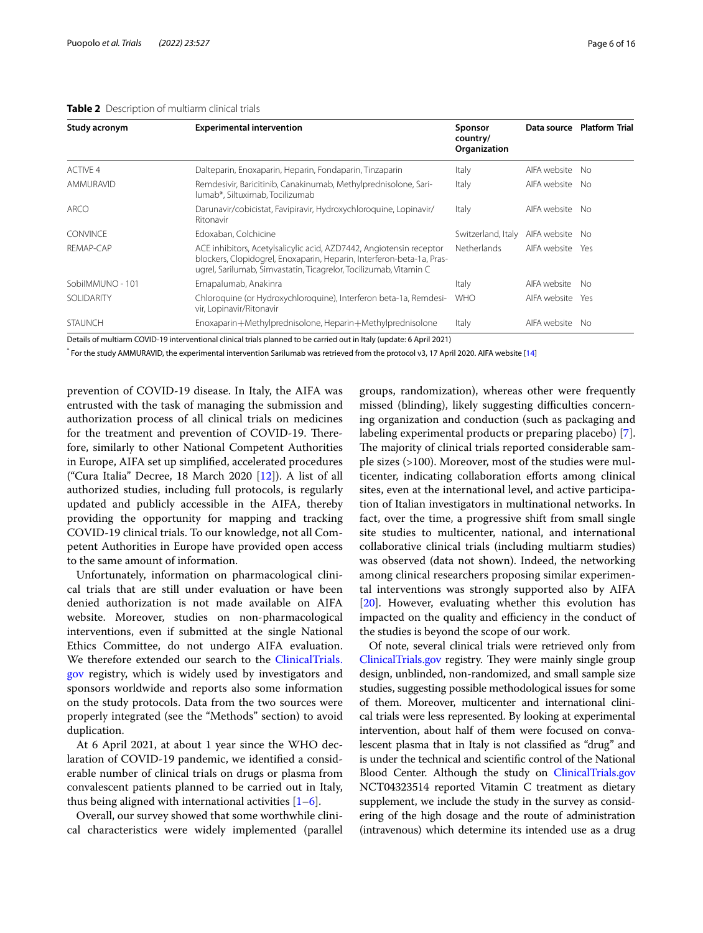## <span id="page-5-0"></span>**Table 2** Description of multiarm clinical trials

| Study acronym    | <b>Experimental intervention</b>                                                                                                                                                                                  | Sponsor<br>country/<br>Organization | Data source  | <b>Platform Trial</b> |
|------------------|-------------------------------------------------------------------------------------------------------------------------------------------------------------------------------------------------------------------|-------------------------------------|--------------|-----------------------|
| <b>ACTIVE 4</b>  | Dalteparin, Enoxaparin, Heparin, Fondaparin, Tinzaparin                                                                                                                                                           | Italy                               | AIFA website | No.                   |
| AMMURAVID        | Remdesivir, Baricitinib, Canakinumab, Methylprednisolone, Sari-<br>lumab*, Siltuximab, Tocilizumab                                                                                                                | Italy                               | AIFA website | No.                   |
| ARCO             | Darunavir/cobicistat, Favipiravir, Hydroxychloroquine, Lopinavir/<br>Ritonavir                                                                                                                                    | Italy                               | AIFA website | No.                   |
| <b>CONVINCE</b>  | Edoxaban, Colchicine                                                                                                                                                                                              | Switzerland, Italy                  | AIFA website | No.                   |
| REMAP-CAP        | ACE inhibitors, Acetylsalicylic acid, AZD7442, Angiotensin receptor<br>blockers, Clopidogrel, Enoxaparin, Heparin, Interferon-beta-1a, Pras-<br>ugrel, Sarilumab, Simvastatin, Ticagrelor, Tocilizumab, Vitamin C | Netherlands                         | AIFA website | Yes                   |
| SobilMMUNO - 101 | Emapalumab, Anakinra                                                                                                                                                                                              | Italy                               | AIFA website | No.                   |
| SOLIDARITY       | Chloroquine (or Hydroxychloroquine), Interferon beta-1a, Remdesi-<br>vir, Lopinavir/Ritonavir                                                                                                                     | <b>WHO</b>                          | AIFA website | Yes                   |
| <b>STAUNCH</b>   | Enoxaparin+Methylprednisolone, Heparin+Methylprednisolone                                                                                                                                                         | Italy                               | AIFA website | No.                   |

\* For the study AMMURAVID, the experimental intervention Sarilumab was retrieved from the protocol v3, 17 April 2020. AIFA website [[14](#page-15-8)]

prevention of COVID-19 disease. In Italy, the AIFA was entrusted with the task of managing the submission and authorization process of all clinical trials on medicines for the treatment and prevention of COVID-19. Therefore, similarly to other National Competent Authorities in Europe, AIFA set up simplifed, accelerated procedures ("Cura Italia" Decree, 18 March 2020 [\[12](#page-15-6)]). A list of all authorized studies, including full protocols, is regularly updated and publicly accessible in the AIFA, thereby providing the opportunity for mapping and tracking COVID-19 clinical trials. To our knowledge, not all Competent Authorities in Europe have provided open access to the same amount of information.

Unfortunately, information on pharmacological clinical trials that are still under evaluation or have been denied authorization is not made available on AIFA website. Moreover, studies on non-pharmacological interventions, even if submitted at the single National Ethics Committee, do not undergo AIFA evaluation. We therefore extended our search to the [ClinicalTrials.](http://clinicaltrials.gov) [gov](http://clinicaltrials.gov) registry, which is widely used by investigators and sponsors worldwide and reports also some information on the study protocols. Data from the two sources were properly integrated (see the "Methods" section) to avoid duplication.

At 6 April 2021, at about 1 year since the WHO declaration of COVID-19 pandemic, we identifed a considerable number of clinical trials on drugs or plasma from convalescent patients planned to be carried out in Italy, thus being aligned with international activities  $[1-6]$  $[1-6]$ .

Overall, our survey showed that some worthwhile clinical characteristics were widely implemented (parallel

groups, randomization), whereas other were frequently missed (blinding), likely suggesting difficulties concerning organization and conduction (such as packaging and labeling experimental products or preparing placebo) [\[7](#page-15-2)]. The majority of clinical trials reported considerable sample sizes (>100). Moreover, most of the studies were multicenter, indicating collaboration eforts among clinical sites, even at the international level, and active participation of Italian investigators in multinational networks. In fact, over the time, a progressive shift from small single site studies to multicenter, national, and international collaborative clinical trials (including multiarm studies) was observed (data not shown). Indeed, the networking among clinical researchers proposing similar experimental interventions was strongly supported also by AIFA [[20\]](#page-15-14). However, evaluating whether this evolution has impacted on the quality and efficiency in the conduct of the studies is beyond the scope of our work.

Of note, several clinical trials were retrieved only from [ClinicalTrials.gov](http://clinicaltrials.gov) registry. They were mainly single group design, unblinded, non-randomized, and small sample size studies, suggesting possible methodological issues for some of them. Moreover, multicenter and international clinical trials were less represented. By looking at experimental intervention, about half of them were focused on convalescent plasma that in Italy is not classifed as "drug" and is under the technical and scientifc control of the National Blood Center. Although the study on [ClinicalTrials.gov](http://clinicaltrials.gov) NCT04323514 reported Vitamin C treatment as dietary supplement, we include the study in the survey as considering of the high dosage and the route of administration (intravenous) which determine its intended use as a drug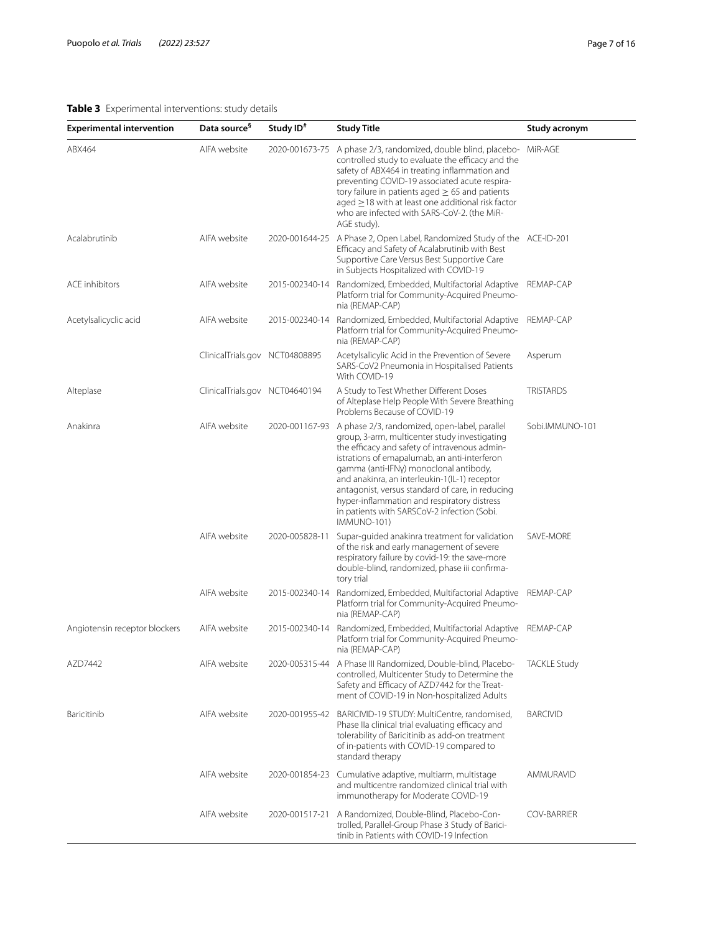# <span id="page-6-0"></span>**Table 3** Experimental interventions: study details

| <b>Experimental intervention</b> | Data source <sup>§</sup>       | Study ID <sup>#</sup> | <b>Study Title</b>                                                                                                                                                                                                                                                                                                                                                                                                                                                 | Study acronym       |
|----------------------------------|--------------------------------|-----------------------|--------------------------------------------------------------------------------------------------------------------------------------------------------------------------------------------------------------------------------------------------------------------------------------------------------------------------------------------------------------------------------------------------------------------------------------------------------------------|---------------------|
| ABX464                           | AIFA website                   | 2020-001673-75        | A phase 2/3, randomized, double blind, placebo- MiR-AGE<br>controlled study to evaluate the efficacy and the<br>safety of ABX464 in treating inflammation and<br>preventing COVID-19 associated acute respira-<br>tory failure in patients aged $\geq$ 65 and patients<br>$a$ aged $\geq$ 18 with at least one additional risk factor<br>who are infected with SARS-CoV-2. (the MiR-<br>AGE study).                                                                |                     |
| Acalabrutinib                    | AIFA website                   |                       | 2020-001644-25 A Phase 2, Open Label, Randomized Study of the ACE-ID-201<br>Efficacy and Safety of Acalabrutinib with Best<br>Supportive Care Versus Best Supportive Care<br>in Subjects Hospitalized with COVID-19                                                                                                                                                                                                                                                |                     |
| <b>ACE</b> inhibitors            | AIFA website                   | 2015-002340-14        | Randomized, Embedded, Multifactorial Adaptive<br>Platform trial for Community-Acquired Pneumo-<br>nia (REMAP-CAP)                                                                                                                                                                                                                                                                                                                                                  | REMAP-CAP           |
| Acetylsalicyclic acid            | AIFA website                   | 2015-002340-14        | Randomized, Embedded, Multifactorial Adaptive<br>Platform trial for Community-Acquired Pneumo-<br>nia (REMAP-CAP)                                                                                                                                                                                                                                                                                                                                                  | REMAP-CAP           |
|                                  | ClinicalTrials.gov NCT04808895 |                       | Acetylsalicylic Acid in the Prevention of Severe<br>SARS-CoV2 Pneumonia in Hospitalised Patients<br>With COVID-19                                                                                                                                                                                                                                                                                                                                                  | Asperum             |
| Alteplase                        | ClinicalTrials.gov NCT04640194 |                       | A Study to Test Whether Different Doses<br>of Alteplase Help People With Severe Breathing<br>Problems Because of COVID-19                                                                                                                                                                                                                                                                                                                                          | <b>TRISTARDS</b>    |
| Anakinra                         | AIFA website                   | 2020-001167-93        | A phase 2/3, randomized, open-label, parallel<br>group, 3-arm, multicenter study investigating<br>the efficacy and safety of intravenous admin-<br>istrations of emapalumab, an anti-interferon<br>gamma (anti-IFNy) monoclonal antibody,<br>and anakinra, an interleukin-1(IL-1) receptor<br>antagonist, versus standard of care, in reducing<br>hyper-inflammation and respiratory distress<br>in patients with SARSCoV-2 infection (Sobi.<br><b>IMMUNO-101)</b> | Sobi.IMMUNO-101     |
|                                  | AIFA website                   | 2020-005828-11        | Supar-guided anakinra treatment for validation<br>of the risk and early management of severe<br>respiratory failure by covid-19: the save-more<br>double-blind, randomized, phase iii confirma-<br>tory trial                                                                                                                                                                                                                                                      | SAVE-MORE           |
|                                  | AIFA website                   | 2015-002340-14        | Randomized, Embedded, Multifactorial Adaptive<br>Platform trial for Community-Acquired Pneumo-<br>nia (REMAP-CAP)                                                                                                                                                                                                                                                                                                                                                  | REMAP-CAP           |
| Angiotensin receptor blockers    | AIFA website                   | 2015-002340-14        | Randomized, Embedded, Multifactorial Adaptive<br>Platform trial for Community-Acquired Pneumo-<br>nia (REMAP-CAP)                                                                                                                                                                                                                                                                                                                                                  | REMAP-CAP           |
| AZD7442                          | AIFA website                   |                       | 2020-005315-44 A Phase III Randomized, Double-blind, Placebo-<br>controlled, Multicenter Study to Determine the<br>Safety and Efficacy of AZD7442 for the Treat-<br>ment of COVID-19 in Non-hospitalized Adults                                                                                                                                                                                                                                                    | <b>TACKLE Study</b> |
| Baricitinib                      | AIFA website                   |                       | 2020-001955-42 BARICIVID-19 STUDY: MultiCentre, randomised,<br>Phase IIa clinical trial evaluating efficacy and<br>tolerability of Baricitinib as add-on treatment<br>of in-patients with COVID-19 compared to<br>standard therapy                                                                                                                                                                                                                                 | <b>BARCIVID</b>     |
|                                  | AIFA website                   | 2020-001854-23        | Cumulative adaptive, multiarm, multistage<br>and multicentre randomized clinical trial with<br>immunotherapy for Moderate COVID-19                                                                                                                                                                                                                                                                                                                                 | AMMURAVID           |
|                                  | AIFA website                   | 2020-001517-21        | A Randomized, Double-Blind, Placebo-Con-<br>trolled, Parallel-Group Phase 3 Study of Barici-<br>tinib in Patients with COVID-19 Infection                                                                                                                                                                                                                                                                                                                          | <b>COV-BARRIER</b>  |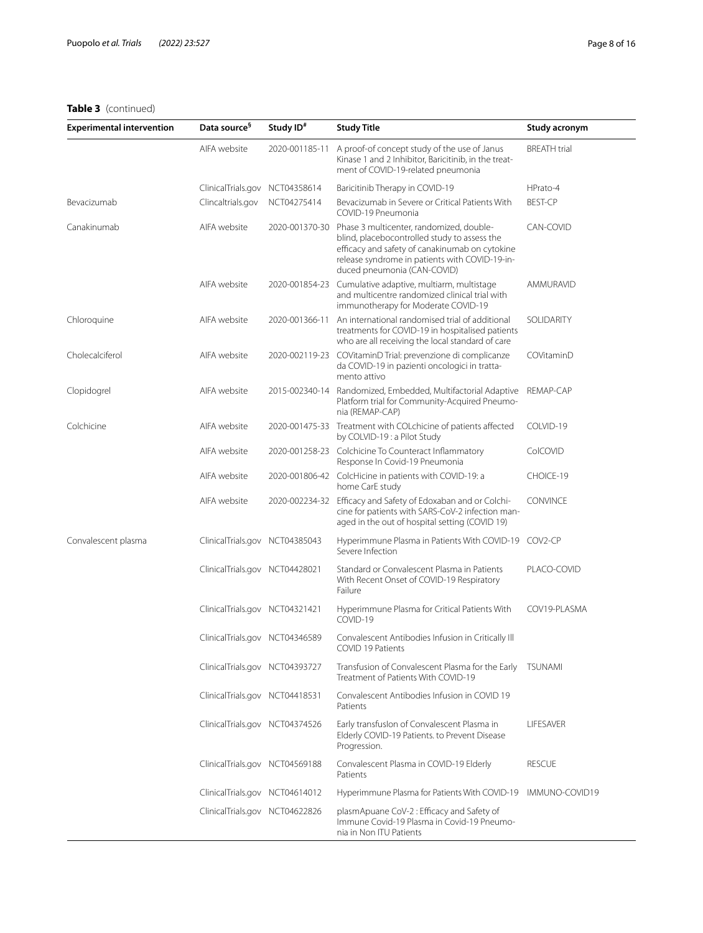| <b>Experimental intervention</b> | Data source <sup>9</sup>       | Study ID <sup>#</sup> | <b>Study Title</b>                                                                                                                                                                                                                         | Study acronym       |
|----------------------------------|--------------------------------|-----------------------|--------------------------------------------------------------------------------------------------------------------------------------------------------------------------------------------------------------------------------------------|---------------------|
|                                  | AIFA website                   | 2020-001185-11        | A proof-of concept study of the use of Janus<br>Kinase 1 and 2 Inhibitor, Baricitinib, in the treat-<br>ment of COVID-19-related pneumonia                                                                                                 | <b>BREATH</b> trial |
|                                  | ClinicalTrials.gov NCT04358614 |                       | Baricitinib Therapy in COVID-19                                                                                                                                                                                                            | HPrato-4            |
| Bevacizumab                      | Clincaltrials.gov              | NCT04275414           | Bevacizumab in Severe or Critical Patients With<br>COVID-19 Pneumonia                                                                                                                                                                      | <b>BEST-CP</b>      |
| Canakinumab                      | AIFA website                   |                       | 2020-001370-30 Phase 3 multicenter, randomized, double-<br>blind, placebocontrolled study to assess the<br>efficacy and safety of canakinumab on cytokine<br>release syndrome in patients with COVID-19-in-<br>duced pneumonia (CAN-COVID) | CAN-COVID           |
|                                  | AIFA website                   |                       | 2020-001854-23 Cumulative adaptive, multiarm, multistage<br>and multicentre randomized clinical trial with<br>immunotherapy for Moderate COVID-19                                                                                          | AMMURAVID           |
| Chloroquine                      | AIFA website                   | 2020-001366-11        | An international randomised trial of additional<br>treatments for COVID-19 in hospitalised patients<br>who are all receiving the local standard of care                                                                                    | SOLIDARITY          |
| Cholecalciferol                  | AIFA website                   |                       | 2020-002119-23 COVitaminD Trial: prevenzione di complicanze<br>da COVID-19 in pazienti oncologici in tratta-<br>mento attivo                                                                                                               | COVitaminD          |
| Clopidogrel                      | AIFA website                   | 2015-002340-14        | Randomized, Embedded, Multifactorial Adaptive<br>Platform trial for Community-Acquired Pneumo-<br>nia (REMAP-CAP)                                                                                                                          | REMAP-CAP           |
| Colchicine                       | AIFA website                   |                       | 2020-001475-33 Treatment with COLchicine of patients affected<br>by COLVID-19: a Pilot Study                                                                                                                                               | COLVID-19           |
|                                  | AIFA website                   |                       | 2020-001258-23 Colchicine To Counteract Inflammatory<br>Response In Covid-19 Pneumonia                                                                                                                                                     | ColCOVID            |
|                                  | AIFA website                   |                       | 2020-001806-42 ColcHicine in patients with COVID-19: a<br>home CarE study                                                                                                                                                                  | CHOICE-19           |
|                                  | AIFA website                   | 2020-002234-32        | Efficacy and Safety of Edoxaban and or Colchi-<br>cine for patients with SARS-CoV-2 infection man-<br>aged in the out of hospital setting (COVID 19)                                                                                       | <b>CONVINCE</b>     |
| Convalescent plasma              | ClinicalTrials.gov NCT04385043 |                       | Hyperimmune Plasma in Patients With COVID-19 COV2-CP<br>Severe Infection                                                                                                                                                                   |                     |
|                                  | ClinicalTrials.gov NCT04428021 |                       | Standard or Convalescent Plasma in Patients<br>With Recent Onset of COVID-19 Respiratory<br>Failure                                                                                                                                        | PLACO-COVID         |
|                                  | ClinicalTrials.gov NCT04321421 |                       | Hyperimmune Plasma for Critical Patients With<br>COVID-19                                                                                                                                                                                  | COV19-PLASMA        |
|                                  | ClinicalTrials.gov NCT04346589 |                       | Convalescent Antibodies Infusion in Critically III<br>COVID 19 Patients                                                                                                                                                                    |                     |
|                                  | ClinicalTrials.gov NCT04393727 |                       | Transfusion of Convalescent Plasma for the Early<br>Treatment of Patients With COVID-19                                                                                                                                                    | TSUNAMI             |
|                                  | ClinicalTrials.gov NCT04418531 |                       | Convalescent Antibodies Infusion in COVID 19<br>Patients                                                                                                                                                                                   |                     |
|                                  | ClinicalTrials.gov NCT04374526 |                       | Early transfusion of Convalescent Plasma in<br>Elderly COVID-19 Patients. to Prevent Disease<br>Progression.                                                                                                                               | LIFESAVER           |
|                                  | ClinicalTrials.gov NCT04569188 |                       | Convalescent Plasma in COVID-19 Elderly<br>Patients                                                                                                                                                                                        | <b>RESCUE</b>       |
|                                  | ClinicalTrials.gov NCT04614012 |                       | Hyperimmune Plasma for Patients With COVID-19                                                                                                                                                                                              | IMMUNO-COVID19      |
|                                  | ClinicalTrials.gov NCT04622826 |                       | plasmApuane CoV-2 : Efficacy and Safety of<br>Immune Covid-19 Plasma in Covid-19 Pneumo-<br>nia in Non ITU Patients                                                                                                                        |                     |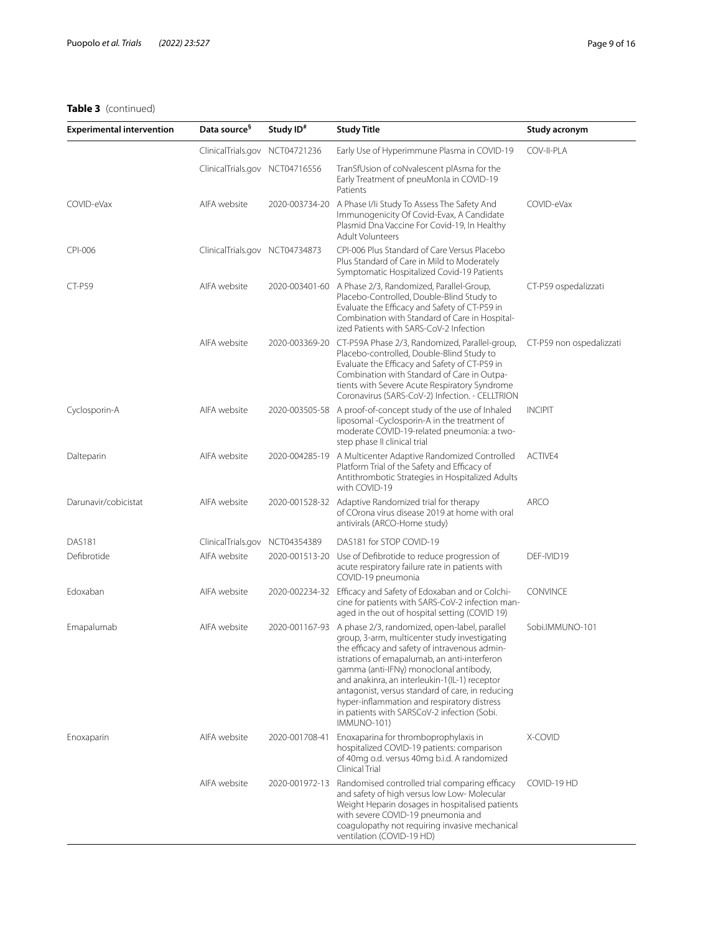| <b>Experimental intervention</b> | Data source <sup>9</sup>       | Study ID <sup>#</sup> | <b>Study Title</b>                                                                                                                                                                                                                                                                                                                                                                                                                                          | Study acronym            |
|----------------------------------|--------------------------------|-----------------------|-------------------------------------------------------------------------------------------------------------------------------------------------------------------------------------------------------------------------------------------------------------------------------------------------------------------------------------------------------------------------------------------------------------------------------------------------------------|--------------------------|
|                                  | ClinicalTrials.gov NCT04721236 |                       | Early Use of Hyperimmune Plasma in COVID-19                                                                                                                                                                                                                                                                                                                                                                                                                 | COV-II-PLA               |
|                                  | ClinicalTrials.gov NCT04716556 |                       | TranSfUsion of coNvalescent plAsma for the<br>Early Treatment of pneuMonla in COVID-19<br>Patients                                                                                                                                                                                                                                                                                                                                                          |                          |
| COVID-eVax                       | AIFA website                   |                       | 2020-003734-20 A Phase I/Ii Study To Assess The Safety And<br>Immunogenicity Of Covid-Evax, A Candidate<br>Plasmid Dna Vaccine For Covid-19, In Healthy<br><b>Adult Volunteers</b>                                                                                                                                                                                                                                                                          | COVID-eVax               |
| CPI-006                          | ClinicalTrials.gov NCT04734873 |                       | CPI-006 Plus Standard of Care Versus Placebo<br>Plus Standard of Care in Mild to Moderately<br>Symptomatic Hospitalized Covid-19 Patients                                                                                                                                                                                                                                                                                                                   |                          |
| CT-P59                           | AIFA website                   |                       | 2020-003401-60 A Phase 2/3, Randomized, Parallel-Group,<br>Placebo-Controlled, Double-Blind Study to<br>Evaluate the Efficacy and Safety of CT-P59 in<br>Combination with Standard of Care in Hospital-<br>ized Patients with SARS-CoV-2 Infection                                                                                                                                                                                                          | CT-P59 ospedalizzati     |
|                                  | AIFA website                   | 2020-003369-20        | CT-P59A Phase 2/3, Randomized, Parallel-group,<br>Placebo-controlled, Double-Blind Study to<br>Evaluate the Efficacy and Safety of CT-P59 in<br>Combination with Standard of Care in Outpa-<br>tients with Severe Acute Respiratory Syndrome<br>Coronavirus (SARS-CoV-2) Infection. - CELLTRION                                                                                                                                                             | CT-P59 non ospedalizzati |
| Cyclosporin-A                    | AIFA website                   |                       | 2020-003505-58 A proof-of-concept study of the use of Inhaled<br>liposomal -Cyclosporin-A in the treatment of<br>moderate COVID-19-related pneumonia: a two-<br>step phase II clinical trial                                                                                                                                                                                                                                                                | <b>INCIPIT</b>           |
| Dalteparin                       | AIFA website                   |                       | 2020-004285-19 A Multicenter Adaptive Randomized Controlled<br>Platform Trial of the Safety and Efficacy of<br>Antithrombotic Strategies in Hospitalized Adults<br>with COVID-19                                                                                                                                                                                                                                                                            | ACTIVE4                  |
| Darunavir/cobicistat             | AIFA website                   |                       | 2020-001528-32 Adaptive Randomized trial for therapy<br>of COrona virus disease 2019 at home with oral<br>antivirals (ARCO-Home study)                                                                                                                                                                                                                                                                                                                      | <b>ARCO</b>              |
| <b>DAS181</b>                    | ClinicalTrials.gov             | NCT04354389           | DAS181 for STOP COVID-19                                                                                                                                                                                                                                                                                                                                                                                                                                    |                          |
| Defibrotide                      | AIFA website                   | 2020-001513-20        | Use of Defibrotide to reduce progression of<br>acute respiratory failure rate in patients with<br>COVID-19 pneumonia                                                                                                                                                                                                                                                                                                                                        | DEF-IVID19               |
| Edoxaban                         | AIFA website                   |                       | 2020-002234-32 Efficacy and Safety of Edoxaban and or Colchi-<br>cine for patients with SARS-CoV-2 infection man-<br>aged in the out of hospital setting (COVID 19)                                                                                                                                                                                                                                                                                         | <b>CONVINCE</b>          |
| Emapalumab                       | AIFA website                   | 2020-001167-93        | A phase 2/3, randomized, open-label, parallel<br>group, 3-arm, multicenter study investigating<br>the efficacy and safety of intravenous admin-<br>istrations of emapalumab, an anti-interferon<br>gamma (anti-IFNy) monoclonal antibody,<br>and anakinra, an interleukin-1(IL-1) receptor<br>antagonist, versus standard of care, in reducing<br>hyper-inflammation and respiratory distress<br>in patients with SARSCoV-2 infection (Sobi.<br>IMMUNO-101) | Sobi.IMMUNO-101          |
| Enoxaparin                       | AIFA website                   | 2020-001708-41        | Enoxaparina for thromboprophylaxis in<br>hospitalized COVID-19 patients: comparison<br>of 40mg o.d. versus 40mg b.i.d. A randomized<br>Clinical Trial                                                                                                                                                                                                                                                                                                       | X-COVID                  |
|                                  | AIFA website                   | 2020-001972-13        | Randomised controlled trial comparing efficacy<br>and safety of high versus low Low- Molecular<br>Weight Heparin dosages in hospitalised patients<br>with severe COVID-19 pneumonia and<br>coagulopathy not requiring invasive mechanical<br>ventilation (COVID-19 HD)                                                                                                                                                                                      | COVID-19 HD              |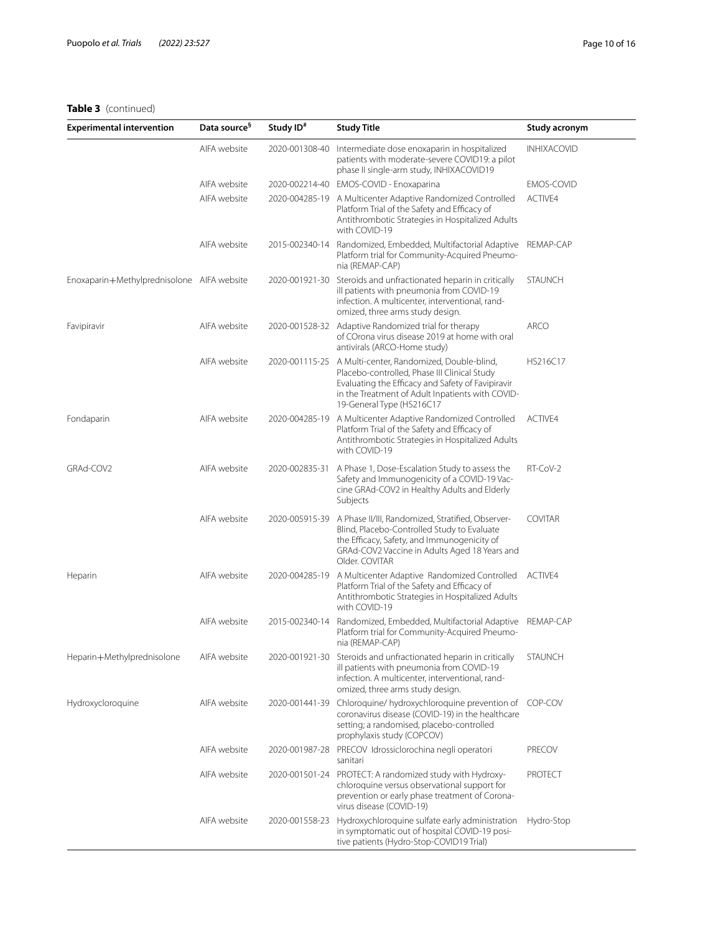| <b>Experimental intervention</b>           | Data source <sup>s</sup> | Study ID <sup>#</sup> | <b>Study Title</b>                                                                                                                                                                                                                             | Study acronym      |
|--------------------------------------------|--------------------------|-----------------------|------------------------------------------------------------------------------------------------------------------------------------------------------------------------------------------------------------------------------------------------|--------------------|
|                                            | AIFA website             | 2020-001308-40        | Intermediate dose enoxaparin in hospitalized<br>patients with moderate-severe COVID19: a pilot<br>phase II single-arm study, INHIXACOVID19                                                                                                     | <b>INHIXACOVID</b> |
|                                            | AIFA website             | 2020-002214-40        | EMOS-COVID - Enoxaparina                                                                                                                                                                                                                       | EMOS-COVID         |
|                                            | AIFA website             | 2020-004285-19        | A Multicenter Adaptive Randomized Controlled<br>Platform Trial of the Safety and Efficacy of<br>Antithrombotic Strategies in Hospitalized Adults<br>with COVID-19                                                                              | ACTIVE4            |
|                                            | AIFA website             |                       | 2015-002340-14 Randomized, Embedded, Multifactorial Adaptive<br>Platform trial for Community-Acquired Pneumo-<br>nia (REMAP-CAP)                                                                                                               | REMAP-CAP          |
| Enoxaparin+Methylprednisolone AIFA website |                          | 2020-001921-30        | Steroids and unfractionated heparin in critically<br>ill patients with pneumonia from COVID-19<br>infection. A multicenter, interventional, rand-<br>omized, three arms study design.                                                          | <b>STAUNCH</b>     |
| Favipiravir                                | AIFA website             |                       | 2020-001528-32 Adaptive Randomized trial for therapy<br>of COrona virus disease 2019 at home with oral<br>antivirals (ARCO-Home study)                                                                                                         | <b>ARCO</b>        |
|                                            | AIFA website             |                       | 2020-001115-25 A Multi-center, Randomized, Double-blind,<br>Placebo-controlled, Phase III Clinical Study<br>Evaluating the Efficacy and Safety of Favipiravir<br>in the Treatment of Adult Inpatients with COVID-<br>19-General Type (HS216C17 | HS216C17           |
| Fondaparin                                 | AIFA website             | 2020-004285-19        | A Multicenter Adaptive Randomized Controlled<br>Platform Trial of the Safety and Efficacy of<br>Antithrombotic Strategies in Hospitalized Adults<br>with COVID-19                                                                              | ACTIVE4            |
| GRAd-COV2                                  | AIFA website             | 2020-002835-31        | A Phase 1, Dose-Escalation Study to assess the<br>Safety and Immunogenicity of a COVID-19 Vac-<br>cine GRAd-COV2 in Healthy Adults and Elderly<br>Subjects                                                                                     | RT-CoV-2           |
|                                            | AIFA website             | 2020-005915-39        | A Phase II/III, Randomized, Stratified, Observer-<br>Blind, Placebo-Controlled Study to Evaluate<br>the Efficacy, Safety, and Immunogenicity of<br>GRAd-COV2 Vaccine in Adults Aged 18 Years and<br>Older. COVITAR                             | <b>COVITAR</b>     |
| Heparin                                    | AIFA website             | 2020-004285-19        | A Multicenter Adaptive Randomized Controlled ACTIVE4<br>Platform Trial of the Safety and Efficacy of<br>Antithrombotic Strategies in Hospitalized Adults<br>with COVID-19                                                                      |                    |
|                                            | AIFA website             | 2015-002340-14        | Randomized, Embedded, Multifactorial Adaptive<br>Platform trial for Community-Acquired Pneumo-<br>nia (REMAP-CAP)                                                                                                                              | REMAP-CAP          |
| Heparin+Methylprednisolone                 | AIFA website             |                       | 2020-001921-30 Steroids and unfractionated heparin in critically<br>ill patients with pneumonia from COVID-19<br>infection. A multicenter, interventional, rand-<br>omized, three arms study design.                                           | <b>STAUNCH</b>     |
| Hydroxycloroquine                          | AIFA website             | 2020-001441-39        | Chloroquine/ hydroxychloroquine prevention of COP-COV<br>coronavirus disease (COVID-19) in the healthcare<br>setting; a randomised, placebo-controlled<br>prophylaxis study (COPCOV)                                                           |                    |
|                                            | AIFA website             | 2020-001987-28        | PRECOV Idrossiclorochina negli operatori<br>sanitari                                                                                                                                                                                           | <b>PRECOV</b>      |
|                                            | AIFA website             |                       | 2020-001501-24 PROTECT: A randomized study with Hydroxy-<br>chloroquine versus observational support for<br>prevention or early phase treatment of Corona-<br>virus disease (COVID-19)                                                         | <b>PROTECT</b>     |
|                                            | AIFA website             | 2020-001558-23        | Hydroxychloroquine sulfate early administration<br>in symptomatic out of hospital COVID-19 posi-<br>tive patients (Hydro-Stop-COVID19 Trial)                                                                                                   | Hydro-Stop         |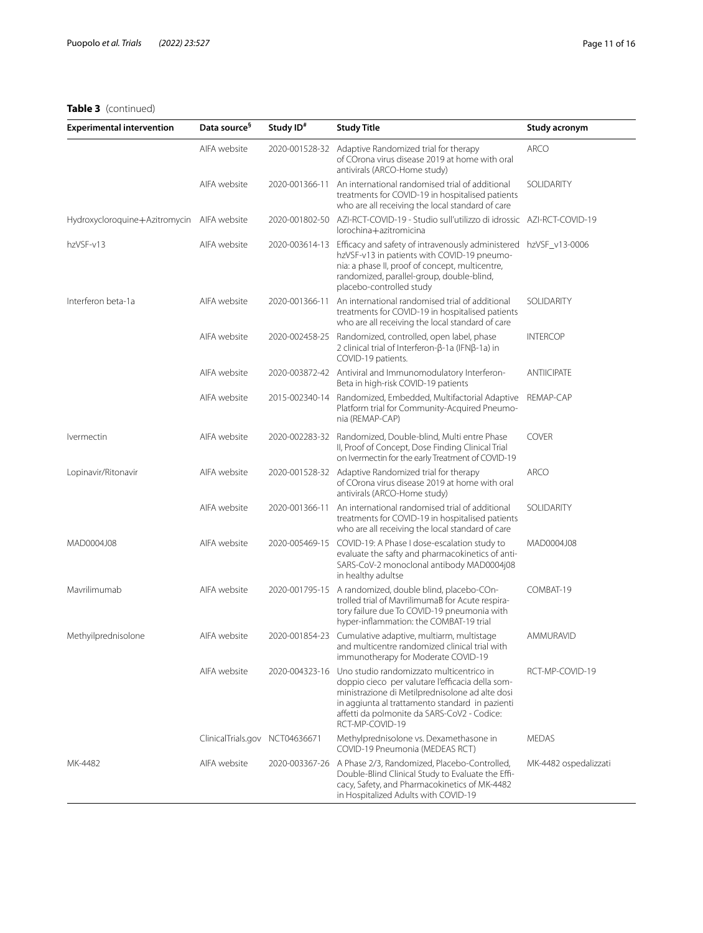| <b>Experimental intervention</b>           | Data source <sup>9</sup>       | Study ID <sup>#</sup> | <b>Study Title</b>                                                                                                                                                                                                                                                   | Study acronym         |
|--------------------------------------------|--------------------------------|-----------------------|----------------------------------------------------------------------------------------------------------------------------------------------------------------------------------------------------------------------------------------------------------------------|-----------------------|
|                                            | AIFA website                   | 2020-001528-32        | Adaptive Randomized trial for therapy<br>of COrona virus disease 2019 at home with oral<br>antivirals (ARCO-Home study)                                                                                                                                              | <b>ARCO</b>           |
|                                            | AIFA website                   | 2020-001366-11        | An international randomised trial of additional<br>treatments for COVID-19 in hospitalised patients<br>who are all receiving the local standard of care                                                                                                              | SOLIDARITY            |
| Hydroxycloroquine+Azitromycin AIFA website |                                | 2020-001802-50        | AZI-RCT-COVID-19 - Studio sull'utilizzo di idrossic AZI-RCT-COVID-19<br>lorochina+azitromicina                                                                                                                                                                       |                       |
| hzVSF-v13                                  | AIFA website                   | 2020-003614-13        | Efficacy and safety of intravenously administered hzVSF_v13-0006<br>hzVSF-v13 in patients with COVID-19 pneumo-<br>nia: a phase II, proof of concept, multicentre,<br>randomized, parallel-group, double-blind,<br>placebo-controlled study                          |                       |
| Interferon beta-1a                         | AIFA website                   | 2020-001366-11        | An international randomised trial of additional<br>treatments for COVID-19 in hospitalised patients<br>who are all receiving the local standard of care                                                                                                              | SOLIDARITY            |
|                                            | AIFA website                   | 2020-002458-25        | Randomized, controlled, open label, phase<br>2 clinical trial of Interferon-β-1a (IFNβ-1a) in<br>COVID-19 patients.                                                                                                                                                  | <b>INTERCOP</b>       |
|                                            | AIFA website                   | 2020-003872-42        | Antiviral and Immunomodulatory Interferon-<br>Beta in high-risk COVID-19 patients                                                                                                                                                                                    | <b>ANTIICIPATE</b>    |
|                                            | AIFA website                   | 2015-002340-14        | Randomized, Embedded, Multifactorial Adaptive<br>Platform trial for Community-Acquired Pneumo-<br>nia (REMAP-CAP)                                                                                                                                                    | REMAP-CAP             |
| <i><u><b>Ivermectin</b></u></i>            | AIFA website                   | 2020-002283-32        | Randomized, Double-blind, Multi entre Phase<br>II, Proof of Concept, Dose Finding Clinical Trial<br>on Ivermectin for the early Treatment of COVID-19                                                                                                                | <b>COVER</b>          |
| Lopinavir/Ritonavir                        | AIFA website                   | 2020-001528-32        | Adaptive Randomized trial for therapy<br>of COrona virus disease 2019 at home with oral<br>antivirals (ARCO-Home study)                                                                                                                                              | <b>ARCO</b>           |
|                                            | AIFA website                   | 2020-001366-11        | An international randomised trial of additional<br>treatments for COVID-19 in hospitalised patients<br>who are all receiving the local standard of care                                                                                                              | SOLIDARITY            |
| MAD0004J08                                 | AIFA website                   | 2020-005469-15        | COVID-19: A Phase I dose-escalation study to<br>evaluate the safty and pharmacokinetics of anti-<br>SARS-CoV-2 monoclonal antibody MAD0004j08<br>in healthy adultse                                                                                                  | MAD0004J08            |
| Mavrilimumab                               | AIFA website                   | 2020-001795-15        | A randomized, double blind, placebo-COn-<br>trolled trial of MavrilimumaB for Acute respira-<br>tory failure due To COVID-19 pneumonia with<br>hyper-inflammation: the COMBAT-19 trial                                                                               | COMBAT-19             |
| Methyilprednisolone                        | AIFA website                   | 2020-001854-23        | Cumulative adaptive, multiarm, multistage<br>and multicentre randomized clinical trial with<br>immunotherapy for Moderate COVID-19                                                                                                                                   | AMMURAVID             |
|                                            | AIFA website                   | 2020-004323-16        | Uno studio randomizzato multicentrico in<br>doppio cieco per valutare l'efficacia della som-<br>ministrazione di Metilprednisolone ad alte dosi<br>in aggiunta al trattamento standard in pazienti<br>affetti da polmonite da SARS-CoV2 - Codice:<br>RCT-MP-COVID-19 | RCT-MP-COVID-19       |
|                                            | ClinicalTrials.gov NCT04636671 |                       | Methylprednisolone vs. Dexamethasone in<br>COVID-19 Pneumonia (MEDEAS RCT)                                                                                                                                                                                           | <b>MEDAS</b>          |
| MK-4482                                    | AIFA website                   | 2020-003367-26        | A Phase 2/3, Randomized, Placebo-Controlled,<br>Double-Blind Clinical Study to Evaluate the Effi-<br>cacy, Safety, and Pharmacokinetics of MK-4482<br>in Hospitalized Adults with COVID-19                                                                           | MK-4482 ospedalizzati |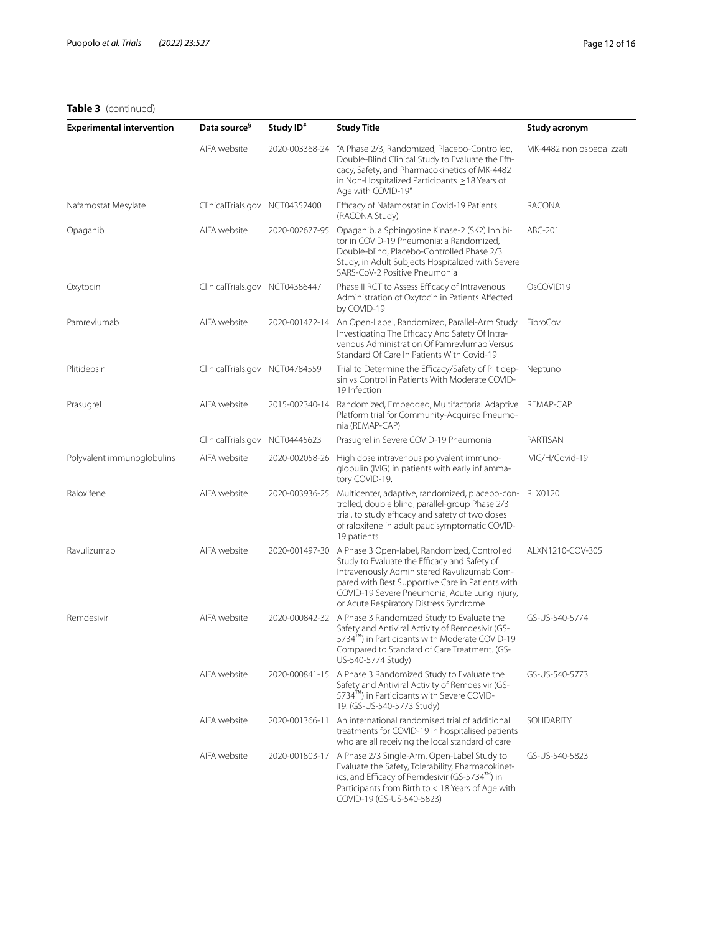| <b>Experimental intervention</b> | Data source <sup>§</sup>       | Study ID <sup>#</sup> | <b>Study Title</b>                                                                                                                                                                                                                                                                                        | Study acronym             |
|----------------------------------|--------------------------------|-----------------------|-----------------------------------------------------------------------------------------------------------------------------------------------------------------------------------------------------------------------------------------------------------------------------------------------------------|---------------------------|
|                                  | AIFA website                   | 2020-003368-24        | "A Phase 2/3, Randomized, Placebo-Controlled,<br>Double-Blind Clinical Study to Evaluate the Effi-<br>cacy, Safety, and Pharmacokinetics of MK-4482<br>in Non-Hospitalized Participants $\geq$ 18 Years of<br>Age with COVID-19"                                                                          | MK-4482 non ospedalizzati |
| Nafamostat Mesylate              | ClinicalTrials.gov NCT04352400 |                       | Efficacy of Nafamostat in Covid-19 Patients<br>(RACONA Study)                                                                                                                                                                                                                                             | RACONA                    |
| Opaganib                         | AIFA website                   | 2020-002677-95        | Opaganib, a Sphingosine Kinase-2 (SK2) Inhibi-<br>tor in COVID-19 Pneumonia: a Randomized,<br>Double-blind, Placebo-Controlled Phase 2/3<br>Study, in Adult Subjects Hospitalized with Severe<br>SARS-CoV-2 Positive Pneumonia                                                                            | ABC-201                   |
| Oxytocin                         | ClinicalTrials.gov NCT04386447 |                       | Phase II RCT to Assess Efficacy of Intravenous<br>Administration of Oxytocin in Patients Affected<br>by COVID-19                                                                                                                                                                                          | OsCOVID19                 |
| Pamrevlumab                      | AIFA website                   |                       | 2020-001472-14 An Open-Label, Randomized, Parallel-Arm Study<br>Investigating The Efficacy And Safety Of Intra-<br>venous Administration Of Pamrevlumab Versus<br>Standard Of Care In Patients With Covid-19                                                                                              | FibroCov                  |
| Plitidepsin                      | ClinicalTrials.gov NCT04784559 |                       | Trial to Determine the Efficacy/Safety of Plitidep-<br>sin vs Control in Patients With Moderate COVID-<br>19 Infection                                                                                                                                                                                    | Neptuno                   |
| Prasugrel                        | AIFA website                   | 2015-002340-14        | Randomized, Embedded, Multifactorial Adaptive<br>Platform trial for Community-Acquired Pneumo-<br>nia (REMAP-CAP)                                                                                                                                                                                         | REMAP-CAP                 |
|                                  | ClinicalTrials.gov NCT04445623 |                       | Prasugrel in Severe COVID-19 Pneumonia                                                                                                                                                                                                                                                                    | PARTISAN                  |
| Polyvalent immunoglobulins       | AIFA website                   |                       | 2020-002058-26 High dose intravenous polyvalent immuno-<br>globulin (IVIG) in patients with early inflamma-<br>tory COVID-19.                                                                                                                                                                             | IVIG/H/Covid-19           |
| Raloxifene                       | AIFA website                   | 2020-003936-25        | Multicenter, adaptive, randomized, placebo-con- RLX0120<br>trolled, double blind, parallel-group Phase 2/3<br>trial, to study efficacy and safety of two doses<br>of raloxifene in adult paucisymptomatic COVID-<br>19 patients.                                                                          |                           |
| Ravulizumab                      | AIFA website                   |                       | 2020-001497-30 A Phase 3 Open-label, Randomized, Controlled<br>Study to Evaluate the Efficacy and Safety of<br>Intravenously Administered Ravulizumab Com-<br>pared with Best Supportive Care in Patients with<br>COVID-19 Severe Pneumonia, Acute Lung Injury,<br>or Acute Respiratory Distress Syndrome | ALXN1210-COV-305          |
| Remdesivir                       | AIFA website                   |                       | 2020-000842-32 A Phase 3 Randomized Study to Evaluate the<br>Safety and Antiviral Activity of Remdesivir (GS-<br>5734™) in Participants with Moderate COVID-19<br>Compared to Standard of Care Treatment. (GS-<br>US-540-5774 Study)                                                                      | GS-US-540-5774            |
|                                  | AIFA website                   |                       | 2020-000841-15 A Phase 3 Randomized Study to Evaluate the<br>Safety and Antiviral Activity of Remdesivir (GS-<br>5734 <sup>fm</sup> ) in Participants with Severe COVID-<br>19. (GS-US-540-5773 Study)                                                                                                    | GS-US-540-5773            |
|                                  | AIFA website                   | 2020-001366-11        | An international randomised trial of additional<br>treatments for COVID-19 in hospitalised patients<br>who are all receiving the local standard of care                                                                                                                                                   | SOLIDARITY                |
|                                  | AIFA website                   |                       | 2020-001803-17 A Phase 2/3 Single-Arm, Open-Label Study to<br>Evaluate the Safety, Tolerability, Pharmacokinet-<br>ics, and Efficacy of Remdesivir (GS-5734™) in<br>Participants from Birth to < 18 Years of Age with<br>COVID-19 (GS-US-540-5823)                                                        | GS-US-540-5823            |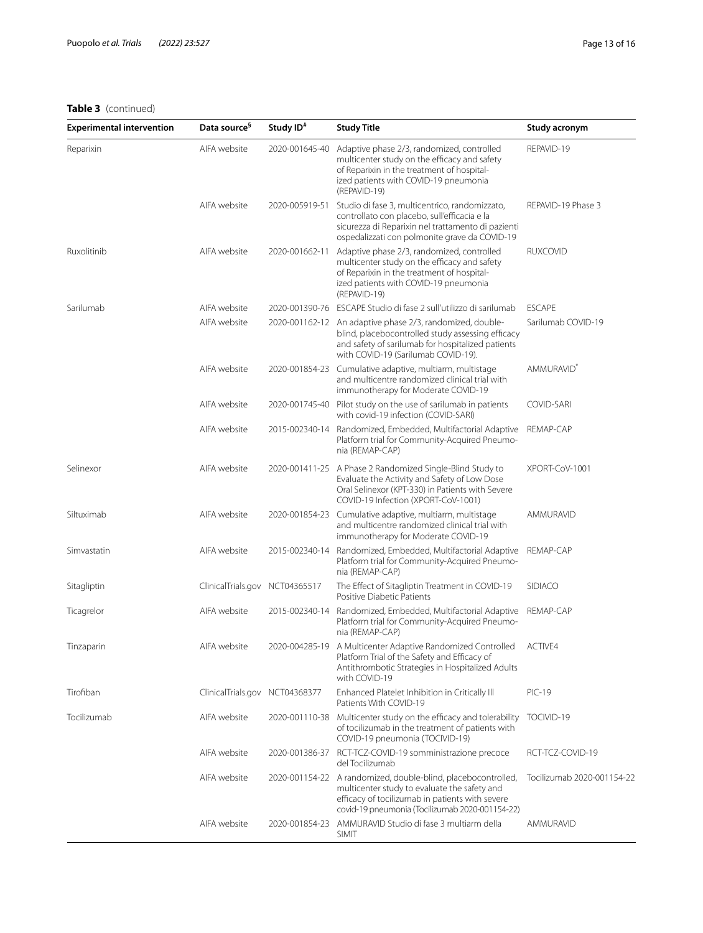| <b>Experimental intervention</b> | Data source <sup>§</sup>       | Study ID <sup>#</sup> | <b>Study Title</b>                                                                                                                                                                                                  | Study acronym              |
|----------------------------------|--------------------------------|-----------------------|---------------------------------------------------------------------------------------------------------------------------------------------------------------------------------------------------------------------|----------------------------|
| Reparixin                        | AIFA website                   | 2020-001645-40        | Adaptive phase 2/3, randomized, controlled<br>multicenter study on the efficacy and safety<br>of Reparixin in the treatment of hospital-<br>ized patients with COVID-19 pneumonia<br>(REPAVID-19)                   | REPAVID-19                 |
|                                  | AIFA website                   | 2020-005919-51        | Studio di fase 3, multicentrico, randomizzato,<br>controllato con placebo, sull'efficacia e la<br>sicurezza di Reparixin nel trattamento di pazienti<br>ospedalizzati con polmonite grave da COVID-19               | REPAVID-19 Phase 3         |
| Ruxolitinib                      | AIFA website                   | 2020-001662-11        | Adaptive phase 2/3, randomized, controlled<br>multicenter study on the efficacy and safety<br>of Reparixin in the treatment of hospital-<br>ized patients with COVID-19 pneumonia<br>(REPAVID-19)                   | <b>RUXCOVID</b>            |
| Sarilumab                        | AIFA website                   |                       | 2020-001390-76 ESCAPE Studio di fase 2 sull'utilizzo di sarilumab                                                                                                                                                   | <b>ESCAPE</b>              |
|                                  | AIFA website                   |                       | 2020-001162-12 An adaptive phase 2/3, randomized, double-<br>blind, placebocontrolled study assessing efficacy<br>and safety of sarilumab for hospitalized patients<br>with COVID-19 (Sarilumab COVID-19).          | Sarilumab COVID-19         |
|                                  | AIFA website                   | 2020-001854-23        | Cumulative adaptive, multiarm, multistage<br>and multicentre randomized clinical trial with<br>immunotherapy for Moderate COVID-19                                                                                  | AMMURAVID <sup>®</sup>     |
|                                  | AIFA website                   | 2020-001745-40        | Pilot study on the use of sarilumab in patients<br>with covid-19 infection (COVID-SARI)                                                                                                                             | COVID-SARI                 |
|                                  | AIFA website                   | 2015-002340-14        | Randomized, Embedded, Multifactorial Adaptive<br>Platform trial for Community-Acquired Pneumo-<br>nia (REMAP-CAP)                                                                                                   | REMAP-CAP                  |
| Selinexor                        | AIFA website                   | 2020-001411-25        | A Phase 2 Randomized Single-Blind Study to<br>Evaluate the Activity and Safety of Low Dose<br>Oral Selinexor (KPT-330) in Patients with Severe<br>COVID-19 Infection (XPORT-CoV-1001)                               | XPORT-CoV-1001             |
| Siltuximab                       | AIFA website                   |                       | 2020-001854-23 Cumulative adaptive, multiarm, multistage<br>and multicentre randomized clinical trial with<br>immunotherapy for Moderate COVID-19                                                                   | AMMURAVID                  |
| Simvastatin                      | AIFA website                   | 2015-002340-14        | Randomized, Embedded, Multifactorial Adaptive<br>Platform trial for Community-Acquired Pneumo-<br>nia (REMAP-CAP)                                                                                                   | REMAP-CAP                  |
| Sitagliptin                      | ClinicalTrials.gov             | NCT04365517           | The Effect of Sitagliptin Treatment in COVID-19<br>Positive Diabetic Patients                                                                                                                                       | <b>SIDIACO</b>             |
| Ticagrelor                       | AIFA website                   | 2015-002340-14        | Randomized, Embedded, Multifactorial Adaptive<br>Platform trial for Community-Acquired Pneumo-<br>nia (REMAP-CAP)                                                                                                   | REMAP-CAP                  |
| Tinzaparin                       | AIFA website                   |                       | 2020-004285-19 A Multicenter Adaptive Randomized Controlled<br>Platform Trial of the Safety and Efficacy of<br>Antithrombotic Strategies in Hospitalized Adults<br>with COVID-19                                    | ACTIVF4                    |
| Tirofiban                        | ClinicalTrials.gov NCT04368377 |                       | Enhanced Platelet Inhibition in Critically III<br>Patients With COVID-19                                                                                                                                            | <b>PIC-19</b>              |
| Tocilizumab                      | AIFA website                   | 2020-001110-38        | Multicenter study on the efficacy and tolerability<br>of tocilizumab in the treatment of patients with<br>COVID-19 pneumonia (TOCIVID-19)                                                                           | TOCIVID-19                 |
|                                  | AIFA website                   | 2020-001386-37        | RCT-TCZ-COVID-19 somministrazione precoce<br>del Tocilizumab                                                                                                                                                        | RCT-TCZ-COVID-19           |
|                                  | AIFA website                   |                       | 2020-001154-22 A randomized, double-blind, placebocontrolled,<br>multicenter study to evaluate the safety and<br>efficacy of tocilizumab in patients with severe<br>covid-19 pneumonia (Tocilizumab 2020-001154-22) | Tocilizumab 2020-001154-22 |
|                                  | AIFA website                   |                       | 2020-001854-23 AMMURAVID Studio di fase 3 multiarm della<br><b>SIMIT</b>                                                                                                                                            | AMMURAVID                  |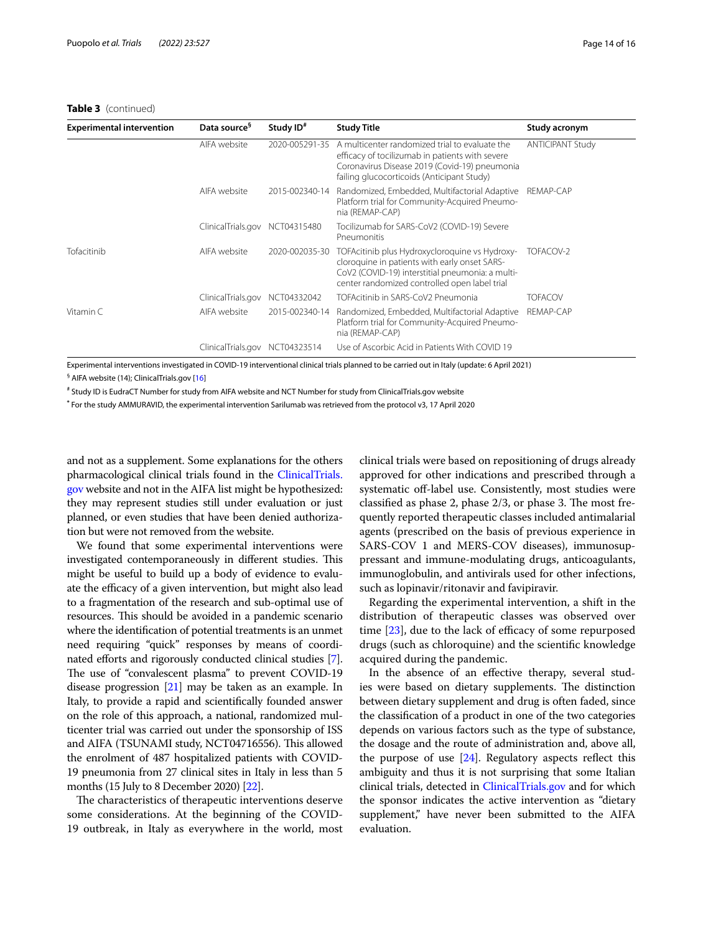| <b>Experimental intervention</b> | Data source <sup>9</sup> | Study ID <sup>#</sup> | <b>Study Title</b>                                                                                                                                                                                   | Study acronym           |
|----------------------------------|--------------------------|-----------------------|------------------------------------------------------------------------------------------------------------------------------------------------------------------------------------------------------|-------------------------|
|                                  | AIFA website             | 2020-005291-35        | A multicenter randomized trial to evaluate the<br>efficacy of tocilizumab in patients with severe<br>Coronavirus Disease 2019 (Covid-19) pneumonia<br>failing glucocorticoids (Anticipant Study)     | <b>ANTICIPANT Study</b> |
|                                  | AIFA website             | 2015-002340-14        | Randomized, Embedded, Multifactorial Adaptive<br>Platform trial for Community-Acquired Pneumo-<br>nia (REMAP-CAP)                                                                                    | REMAP-CAP               |
|                                  | ClinicalTrials.gov       | NCT04315480           | Tocilizumab for SARS-CoV2 (COVID-19) Severe<br>Pneumonitis                                                                                                                                           |                         |
| Tofacitinib                      | AIFA website             | 2020-002035-30        | TOFAcitinib plus Hydroxycloroquine vs Hydroxy-<br>cloroquine in patients with early onset SARS-<br>CoV2 (COVID-19) interstitial pneumonia: a multi-<br>center randomized controlled open label trial | TOFACOV-2               |
|                                  | ClinicalTrials.gov       | NCT04332042           | TOFAcitinib in SARS-CoV2 Pneumonia                                                                                                                                                                   | <b>TOFACOV</b>          |
| Vitamin C                        | AIFA website             | 2015-002340-14        | Randomized, Embedded, Multifactorial Adaptive<br>Platform trial for Community-Acquired Pneumo-<br>nia (REMAP-CAP)                                                                                    | REMAP-CAP               |
|                                  | ClinicalTrials.gov       | NCT04323514           | Use of Ascorbic Acid in Patients With COVID 19                                                                                                                                                       |                         |

Experimental interventions investigated in COVID-19 interventional clinical trials planned to be carried out in Italy (update: 6 April 2021) <sup>§</sup> AIFA website (14); ClinicalTrials.gov [[16\]](#page-15-10)

# Study ID is EudraCT Number for study from AIFA website and NCT Number for study from ClinicalTrials.gov website

**\*** For the study AMMURAVID, the experimental intervention Sarilumab was retrieved from the protocol v3, 17 April 2020

and not as a supplement. Some explanations for the others pharmacological clinical trials found in the [ClinicalTrials.](http://clinicaltrials.gov) [gov](http://clinicaltrials.gov) website and not in the AIFA list might be hypothesized: they may represent studies still under evaluation or just planned, or even studies that have been denied authorization but were not removed from the website.

We found that some experimental interventions were investigated contemporaneously in different studies. This might be useful to build up a body of evidence to evaluate the efficacy of a given intervention, but might also lead to a fragmentation of the research and sub-optimal use of resources. This should be avoided in a pandemic scenario where the identifcation of potential treatments is an unmet need requiring "quick" responses by means of coordi-nated efforts and rigorously conducted clinical studies [\[7](#page-15-2)]. The use of "convalescent plasma" to prevent COVID-19 disease progression [\[21\]](#page-15-15) may be taken as an example. In Italy, to provide a rapid and scientifcally founded answer on the role of this approach, a national, randomized multicenter trial was carried out under the sponsorship of ISS and AIFA (TSUNAMI study, NCT04716556). This allowed the enrolment of 487 hospitalized patients with COVID-19 pneumonia from 27 clinical sites in Italy in less than 5 months (15 July to 8 December 2020) [[22](#page-15-16)].

The characteristics of therapeutic interventions deserve some considerations. At the beginning of the COVID-19 outbreak, in Italy as everywhere in the world, most clinical trials were based on repositioning of drugs already approved for other indications and prescribed through a systematic off-label use. Consistently, most studies were classified as phase 2, phase  $2/3$ , or phase 3. The most frequently reported therapeutic classes included antimalarial agents (prescribed on the basis of previous experience in SARS-COV 1 and MERS-COV diseases), immunosuppressant and immune-modulating drugs, anticoagulants, immunoglobulin, and antivirals used for other infections, such as lopinavir/ritonavir and favipiravir.

Regarding the experimental intervention, a shift in the distribution of therapeutic classes was observed over time  $[23]$  $[23]$ , due to the lack of efficacy of some repurposed drugs (such as chloroquine) and the scientifc knowledge acquired during the pandemic.

In the absence of an efective therapy, several studies were based on dietary supplements. The distinction between dietary supplement and drug is often faded, since the classifcation of a product in one of the two categories depends on various factors such as the type of substance, the dosage and the route of administration and, above all, the purpose of use  $[24]$  $[24]$  $[24]$ . Regulatory aspects reflect this ambiguity and thus it is not surprising that some Italian clinical trials, detected in [ClinicalTrials.gov](http://clinicaltrials.gov) and for which the sponsor indicates the active intervention as "dietary supplement," have never been submitted to the AIFA evaluation.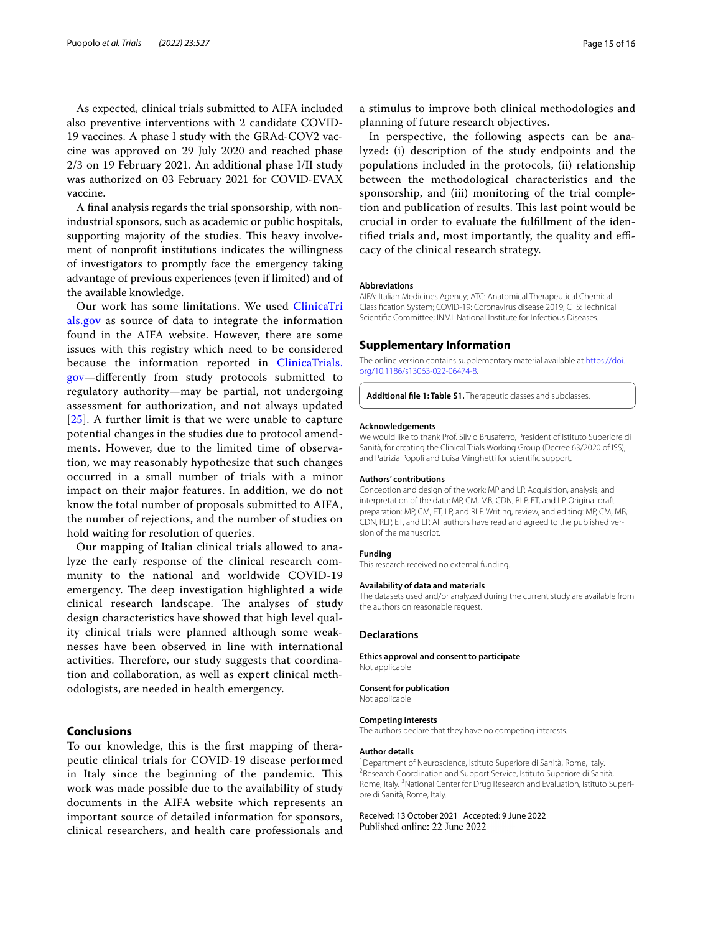As expected, clinical trials submitted to AIFA included also preventive interventions with 2 candidate COVID-19 vaccines. A phase I study with the GRAd-COV2 vaccine was approved on 29 July 2020 and reached phase 2/3 on 19 February 2021. An additional phase I/II study was authorized on 03 February 2021 for COVID-EVAX vaccine.

A fnal analysis regards the trial sponsorship, with nonindustrial sponsors, such as academic or public hospitals, supporting majority of the studies. This heavy involvement of nonproft institutions indicates the willingness of investigators to promptly face the emergency taking advantage of previous experiences (even if limited) and of the available knowledge.

Our work has some limitations. We used [ClinicaTri](http://clinicatrials.gov) [als.gov](http://clinicatrials.gov) as source of data to integrate the information found in the AIFA website. However, there are some issues with this registry which need to be considered because the information reported in [ClinicaTrials.](http://clinicatrials.gov) [gov—](http://clinicatrials.gov)diferently from study protocols submitted to regulatory authority—may be partial, not undergoing assessment for authorization, and not always updated  $[25]$  $[25]$  $[25]$ . A further limit is that we were unable to capture potential changes in the studies due to protocol amendments. However, due to the limited time of observation, we may reasonably hypothesize that such changes occurred in a small number of trials with a minor impact on their major features. In addition, we do not know the total number of proposals submitted to AIFA, the number of rejections, and the number of studies on hold waiting for resolution of queries.

Our mapping of Italian clinical trials allowed to analyze the early response of the clinical research community to the national and worldwide COVID-19 emergency. The deep investigation highlighted a wide clinical research landscape. The analyses of study design characteristics have showed that high level quality clinical trials were planned although some weaknesses have been observed in line with international activities. Therefore, our study suggests that coordination and collaboration, as well as expert clinical methodologists, are needed in health emergency.

## **Conclusions**

To our knowledge, this is the frst mapping of therapeutic clinical trials for COVID-19 disease performed in Italy since the beginning of the pandemic. This work was made possible due to the availability of study documents in the AIFA website which represents an important source of detailed information for sponsors, clinical researchers, and health care professionals and a stimulus to improve both clinical methodologies and planning of future research objectives.

In perspective, the following aspects can be analyzed: (i) description of the study endpoints and the populations included in the protocols, (ii) relationship between the methodological characteristics and the sponsorship, and (iii) monitoring of the trial completion and publication of results. This last point would be crucial in order to evaluate the fulfllment of the identified trials and, most importantly, the quality and efficacy of the clinical research strategy.

#### **Abbreviations**

AIFA: Italian Medicines Agency; ATC: Anatomical Therapeutical Chemical Classifcation System; COVID-19: Coronavirus disease 2019; CTS: Technical Scientifc Committee; INMI: National Institute for Infectious Diseases.

## **Supplementary Information**

The online version contains supplementary material available at [https://doi.](https://doi.org/10.1186/s13063-022-06474-8) [org/10.1186/s13063-022-06474-8](https://doi.org/10.1186/s13063-022-06474-8).

<span id="page-14-0"></span>**Additional fle 1: Table S1.** Therapeutic classes and subclasses.

#### **Acknowledgements**

We would like to thank Prof. Silvio Brusaferro, President of Istituto Superiore di Sanità, for creating the Clinical Trials Working Group (Decree 63/2020 of ISS), and Patrizia Popoli and Luisa Minghetti for scientifc support.

#### **Authors' contributions**

Conception and design of the work: MP and LP. Acquisition, analysis, and interpretation of the data: MP, CM, MB, CDN, RLP, ET, and LP. Original draft preparation: MP, CM, ET, LP, and RLP. Writing, review, and editing: MP, CM, MB, CDN, RLP, ET, and LP. All authors have read and agreed to the published version of the manuscript.

#### **Funding**

This research received no external funding.

#### **Availability of data and materials**

The datasets used and/or analyzed during the current study are available from the authors on reasonable request.

## **Declarations**

**Ethics approval and consent to participate** Not applicable

#### **Consent for publication**

Not applicable

#### **Competing interests**

The authors declare that they have no competing interests.

## **Author details**

1 Department of Neuroscience, Istituto Superiore di Sanità, Rome, Italy. 2 <sup>2</sup> Research Coordination and Support Service, Istituto Superiore di Sanità, Rome, Italy.<sup>3</sup> National Center for Drug Research and Evaluation, Istituto Superiore di Sanità, Rome, Italy.

Received: 13 October 2021 Accepted: 9 June 2022Published online: 22 June 2022